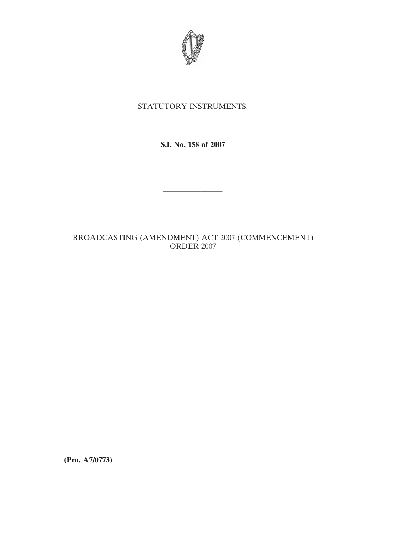

## STATUTORY INSTRUMENTS.

**S.I. No. 158 of 2007**

————————

# BROADCASTING (AMENDMENT) ACT 2007 (COMMENCEMENT) ORDER 2007

**(Prn. A7/0773)**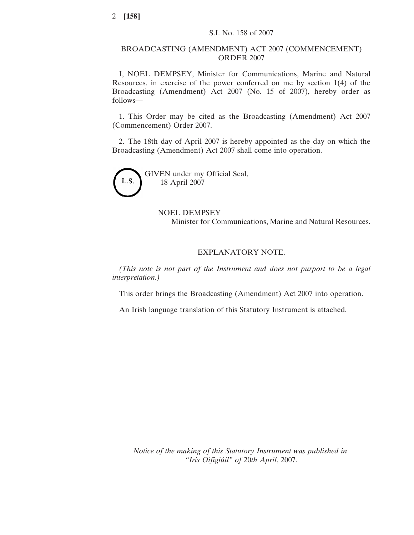#### BROADCASTING (AMENDMENT) ACT 2007 (COMMENCEMENT) ORDER 2007

I, NOEL DEMPSEY, Minister for Communications, Marine and Natural Resources, in exercise of the power conferred on me by section 1(4) of the Broadcasting (Amendment) Act 2007 (No. 15 of 2007), hereby order as follows—

1. This Order may be cited as the Broadcasting (Amendment) Act 2007 (Commencement) Order 2007.

2. The 18th day of April 2007 is hereby appointed as the day on which the Broadcasting (Amendment) Act 2007 shall come into operation.



GIVEN under my Official Seal, 18 April 2007

### NOEL DEMPSEY

Minister for Communications, Marine and Natural Resources.

### EXPLANATORY NOTE.

*(This note is not part of the Instrument and does not purport to be a legal interpretation.)*

This order brings the Broadcasting (Amendment) Act 2007 into operation.

An Irish language translation of this Statutory Instrument is attached.

*Notice of the making of this Statutory Instrument was published in "Iris Oifigiu´il" of* 20*th April*, 2007.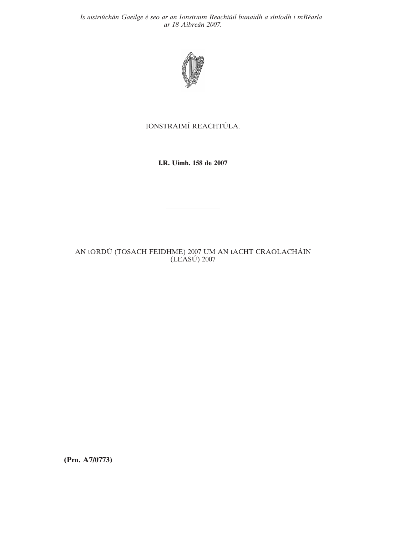*Is aistriu´ cha´n Gaeilge e´ seo ar an Ionstraim Reachtu´il bunaidh a sı´nı´odh i mBe´arla ar 18 Aibrea´n 2007.*



## IONSTRAIMÍ REACHTÚLA.

**I.R. Uimh. 158 de 2007**

————————

AN tORDÚ (TOSACH FEIDHME) 2007 UM AN tACHT CRAOLACHÁIN  $(LEASÚ) 2007$ 

**(Prn. A7/0773)**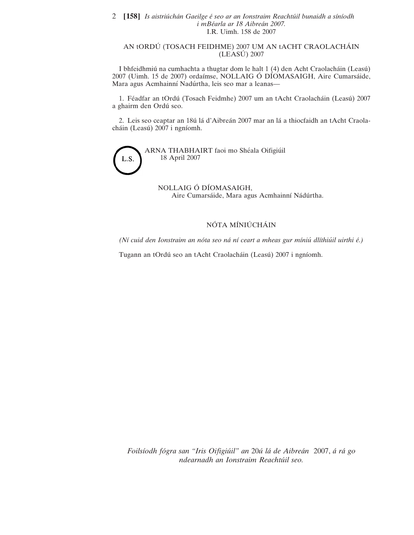#### 2 **[158]** *Is aistriu´ cha´n Gaeilge e´ seo ar an Ionstraim Reachtu´il bunaidh a sı´nı´odh i mBe´arla ar 18 Aibrea´n 2007.* I.R. Uimh. 158 de 2007

#### AN tORDÚ (TOSACH FEIDHME) 2007 UM AN tACHT CRAOLACHÁIN  $(LEASÚ) 2007$

I bhfeidhmiú na cumhachta a thugtar dom le halt 1 (4) den Acht Craolacháin (Leasú) 2007 (Uimh. 15 de 2007) ordaímse, NOLLAIG Ó DÍOMASAIGH, Aire Cumarsáide, Mara agus Acmhainní Nadúrtha, leis seo mar a leanas—

1. Féadfar an tOrdú (Tosach Feidmhe) 2007 um an tAcht Craolacháin (Leasú) 2007 a ghairm den Ordu´ seo.

2. Leis seo ceaptar an 18ú lá d'Aibreán 2007 mar an lá a thiocfaidh an tAcht Craolacháin (Leasú) 2007 i ngníomh.



NOLLAIG Ó DÍOMASAIGH, Aire Cumarsáide, Mara agus Acmhainní Nádúrtha.

#### NÓTA MÍNIÚCHÁIN

*(Nı´ cuid den Ionstraim an no´ta seo na´ nı´ ceart a mheas gur mı´niu´ dlı´thiu´il uirthi e´.)*

Tugann an tOrdú seo an tAcht Craolacháin (Leasú) 2007 i ngníomh.

*Foilsı´odh fo´gra san "Iris Oifigiu´il" an* 20*u´ la´ de Aibrea´n* 2007, *a´ ra´ go ndearnadh an Ionstraim Reachtu´il seo.*